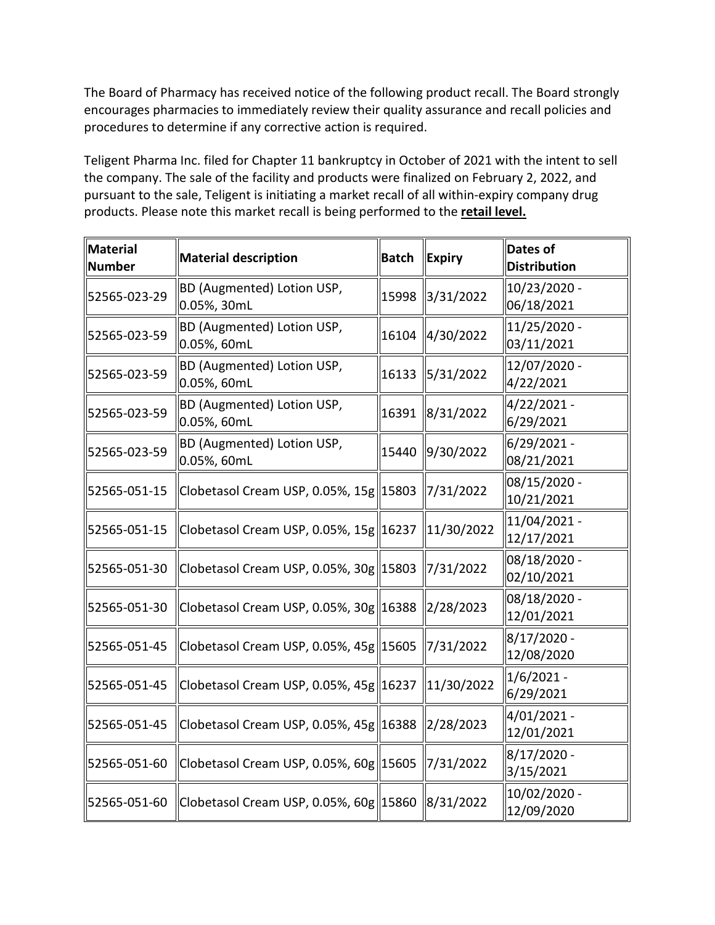The Board of Pharmacy has received notice of the following product recall. The Board strongly encourages pharmacies to immediately review their quality assurance and recall policies and procedures to determine if any corrective action is required.

 Teligent Pharma Inc. filed for Chapter 11 bankruptcy in October of 2021 with the intent to sell products. Please note this market recall is being performed to the **retail level.**  the company. The sale of the facility and products were finalized on February 2, 2022, and pursuant to the sale, Teligent is initiating a market recall of all within-expiry company drug

| <b>Material</b><br>Number | <b>Material description</b>                          | <b>Batch</b> | Expiry                 | Dates of<br><b>Distribution</b> |
|---------------------------|------------------------------------------------------|--------------|------------------------|---------------------------------|
| 52565-023-29              | BD (Augmented) Lotion USP,<br>0.05%, 30mL            | 15998        | 3/31/2022              | 10/23/2020 -<br>06/18/2021      |
| 52565-023-59              | BD (Augmented) Lotion USP,<br>0.05%, 60mL            | 16104        | 4/30/2022              | 11/25/2020 -<br>03/11/2021      |
| 52565-023-59              | <b>BD (Augmented) Lotion USP,</b><br>0.05%, 60mL     | 16133        | 5/31/2022              | 12/07/2020 -<br>4/22/2021       |
| 52565-023-59              | <b>BD (Augmented) Lotion USP,</b><br>0.05%, 60mL     | 16391        | 8/31/2022              | 4/22/2021 -<br>6/29/2021        |
| 52565-023-59              | BD (Augmented) Lotion USP,<br>0.05%, 60mL            | 15440        | 9/30/2022              | 6/29/2021 -<br>08/21/2021       |
| 52565-051-15              | Clobetasol Cream USP, 0.05%, 15g 15803               |              | 7/31/2022              | 08/15/2020 -<br>10/21/2021      |
| 52565-051-15              | Clobetasol Cream USP, 0.05%, 15g  16237   11/30/2022 |              |                        | 11/04/2021 -<br>12/17/2021      |
| 52565-051-30              | Clobetasol Cream USP, 0.05%, 30g 15803 7/31/2022     |              |                        | 08/18/2020 -<br>02/10/2021      |
| 52565-051-30              | Clobetasol Cream USP, 0.05%, 30g 16388 2/28/2023     |              |                        | 08/18/2020 -<br>12/01/2021      |
| 52565-051-45              | Clobetasol Cream USP, 0.05%, 45g 15605 7/31/2022     |              |                        | 8/17/2020 -<br>12/08/2020       |
| 52565-051-45              | Clobetasol Cream USP, 0.05%, 45g 16237               |              | 11/30/2022             | $1/6/2021 -$<br>6/29/2021       |
| 52565-051-45              | Clobetasol Cream USP, 0.05%, 45g  16388   2/28/2023  |              |                        | 4/01/2021 -<br>12/01/2021       |
| 52565-051-60              | Clobetasol Cream USP, 0.05%, 60g 15605               |              | 7/31/2022              | 8/17/2020 -<br>3/15/2021        |
| 52565-051-60              | Clobetasol Cream USP, 0.05%, 60g 15860               |              | $\frac{1}{8}$ /31/2022 | 10/02/2020 -<br>12/09/2020      |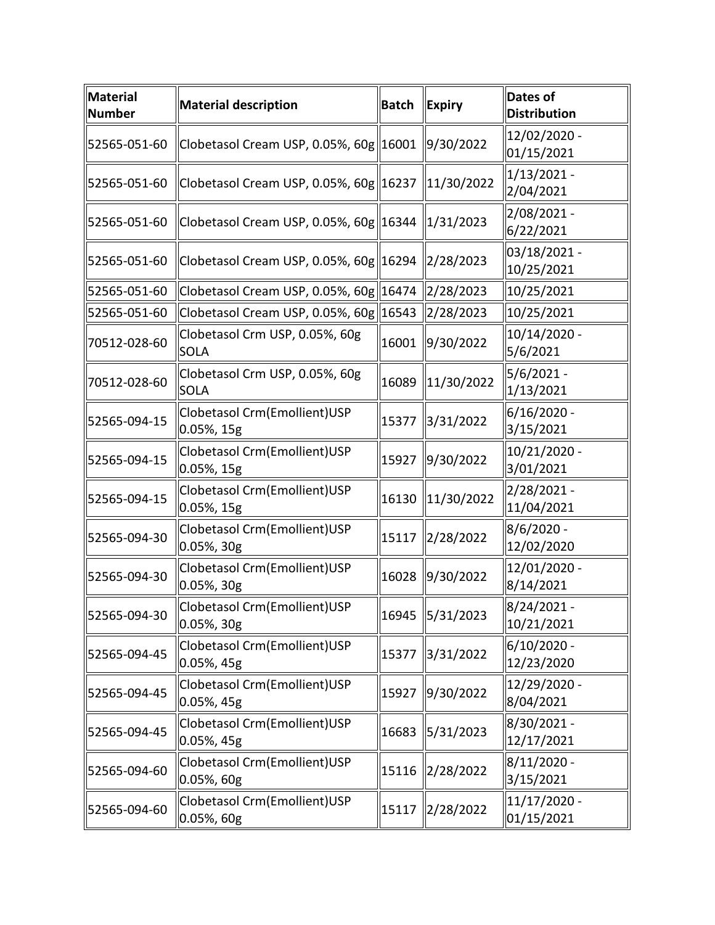| <b>Material</b><br><b>Number</b> | <b>Material description</b>                     | <b>Batch</b> | <b>Expiry</b> | <b>Dates of</b><br><b>Distribution</b> |
|----------------------------------|-------------------------------------------------|--------------|---------------|----------------------------------------|
| 52565-051-60                     | Clobetasol Cream USP, 0.05%, 60g  16001         |              | 9/30/2022     | 12/02/2020 -<br>01/15/2021             |
| 52565-051-60                     | Clobetasol Cream USP, 0.05%, 60g 16237          |              | 11/30/2022    | $1/13/2021$ -<br>2/04/2021             |
| 52565-051-60                     | Clobetasol Cream USP, 0.05%, 60g  16344         |              | 1/31/2023     | 2/08/2021 -<br>6/22/2021               |
| 52565-051-60                     | Clobetasol Cream USP, 0.05%, 60g 16294          |              | 2/28/2023     | 03/18/2021 -<br>10/25/2021             |
| 52565-051-60                     | Clobetasol Cream USP, 0.05%, 60g 16474          |              | 2/28/2023     | 10/25/2021                             |
| 52565-051-60                     | Clobetasol Cream USP, 0.05%, $60g$   16543      |              | 2/28/2023     | 10/25/2021                             |
| 70512-028-60                     | Clobetasol Crm USP, 0.05%, 60g<br><b>SOLA</b>   | 16001        | 9/30/2022     | 10/14/2020 -<br>5/6/2021               |
| 70512-028-60                     | Clobetasol Crm USP, 0.05%, 60g<br><b>SOLA</b>   | 16089        | 11/30/2022    | $5/6/2021 -$<br>1/13/2021              |
| 52565-094-15                     | Clobetasol Crm(Emollient)USP<br>0.05%, 15g      | 15377        | 3/31/2022     | $6/16/2020$ -<br>3/15/2021             |
| 52565-094-15                     | Clobetasol Crm(Emollient)USP<br>0.05%, 15g      | 15927        | 9/30/2022     | 10/21/2020 -<br>3/01/2021              |
| 52565-094-15                     | Clobetasol Crm(Emollient)USP<br>0.05%, 15g      | 16130        | 11/30/2022    | $2/28/2021 -$<br>11/04/2021            |
| 52565-094-30                     | Clobetasol Crm(Emollient)USP<br>$[0.05\%, 30g]$ | 15117        | 2/28/2022     | $8/6/2020 -$<br>12/02/2020             |
| 52565-094-30                     | Clobetasol Crm(Emollient)USP<br>$0.05%$ , 30g   | 16028        | 9/30/2022     | 12/01/2020 -<br>8/14/2021              |
| 52565-094-30                     | Clobetasol Crm(Emollient)USP<br>$0.05%$ , 30g   | 16945        | 5/31/2023     | 8/24/2021<br>10/21/2021                |
| 52565-094-45                     | Clobetasol Crm(Emollient)USP<br>$0.05%$ , 45g   | 15377        | 3/31/2022     | $6/10/2020$ -<br>12/23/2020            |
| 52565-094-45                     | Clobetasol Crm(Emollient)USP<br>0.05%, 45g      | 15927        | 9/30/2022     | 12/29/2020 -<br>8/04/2021              |
| 52565-094-45                     | Clobetasol Crm(Emollient)USP<br>0.05%, 45g      | 16683        | 5/31/2023     | 8/30/2021 -<br>12/17/2021              |
| 52565-094-60                     | Clobetasol Crm(Emollient)USP<br>$0.05%$ , 60g   | 15116        | 2/28/2022     | $8/11/2020$ -<br>3/15/2021             |
| 52565-094-60                     | Clobetasol Crm(Emollient)USP<br>$0.05%$ , 60g   | 15117        | 2/28/2022     | $11/17/2020$ -<br>01/15/2021           |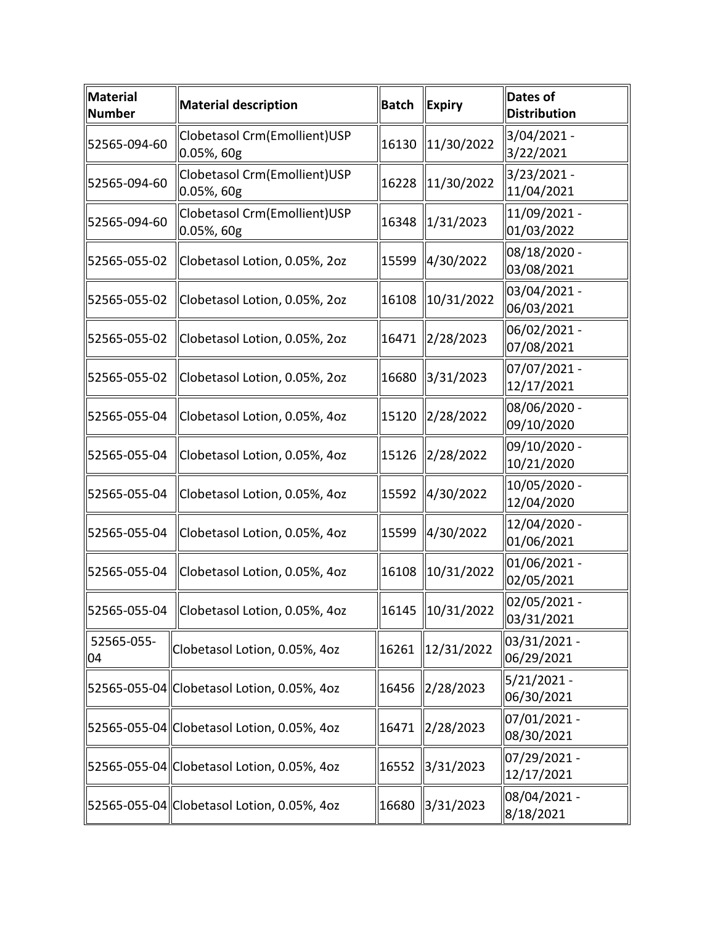| Material<br>Number | <b>Material description</b>                   | <b>Batch</b> | <b>Expiry</b> | <b>Dates of</b><br><b>Distribution</b> |
|--------------------|-----------------------------------------------|--------------|---------------|----------------------------------------|
| 52565-094-60       | Clobetasol Crm(Emollient)USP<br>0.05%, 60g    | 16130        | 11/30/2022    | 3/04/2021 -<br>3/22/2021               |
| 52565-094-60       | Clobetasol Crm(Emollient)USP<br>$0.05%$ , 60g | 16228        | 11/30/2022    | 3/23/2021 -<br>11/04/2021              |
| 52565-094-60       | Clobetasol Crm(Emollient)USP<br>0.05%, 60g    | 16348        | 1/31/2023     | 11/09/2021 -<br>01/03/2022             |
| 52565-055-02       | Clobetasol Lotion, 0.05%, 2oz                 | 15599        | 4/30/2022     | 08/18/2020 -<br>03/08/2021             |
| 52565-055-02       | Clobetasol Lotion, 0.05%, 2oz                 | 16108        | 10/31/2022    | 03/04/2021 -<br>06/03/2021             |
| 52565-055-02       | Clobetasol Lotion, 0.05%, 2oz                 | 16471        | 2/28/2023     | 06/02/2021 -<br>07/08/2021             |
| 52565-055-02       | Clobetasol Lotion, 0.05%, 2oz                 | 16680        | 3/31/2023     | 07/07/2021 -<br>12/17/2021             |
| 52565-055-04       | Clobetasol Lotion, 0.05%, 4oz                 | 15120        | 2/28/2022     | 08/06/2020 -<br>09/10/2020             |
| 52565-055-04       | Clobetasol Lotion, 0.05%, 4oz                 | 15126        | 2/28/2022     | 09/10/2020 -<br>10/21/2020             |
| 52565-055-04       | Clobetasol Lotion, 0.05%, 4oz                 | 15592        | 4/30/2022     | 10/05/2020 -<br>12/04/2020             |
| 52565-055-04       | Clobetasol Lotion, 0.05%, 4oz                 | 15599        | 4/30/2022     | 12/04/2020 -<br>01/06/2021             |
| 52565-055-04       | Clobetasol Lotion, 0.05%, 4oz                 | 16108        | 10/31/2022    | 01/06/2021 -<br>02/05/2021             |
| 52565-055-04       | Clobetasol Lotion, 0.05%, 4oz                 | 16145        | 10/31/2022    | 02/05/2021 -<br>03/31/2021             |
| 52565-055-<br>04   | Clobetasol Lotion, 0.05%, 4oz                 | 16261        | 12/31/2022    | 03/31/2021 -<br>06/29/2021             |
|                    | 52565-055-04 Clobetasol Lotion, 0.05%, 4oz    | 16456        | 2/28/2023     | $5/21/2021 -$<br>06/30/2021            |
|                    | 52565-055-04 Clobetasol Lotion, 0.05%, 4oz    | 16471        | 2/28/2023     | 07/01/2021 -<br>08/30/2021             |
|                    | 52565-055-04  Clobetasol Lotion, 0.05%, 4oz   | 16552        | 3/31/2023     | 07/29/2021 -<br>12/17/2021             |
|                    | 52565-055-04 Clobetasol Lotion, 0.05%, 4oz    | 16680        | 3/31/2023     | 08/04/2021 -<br>8/18/2021              |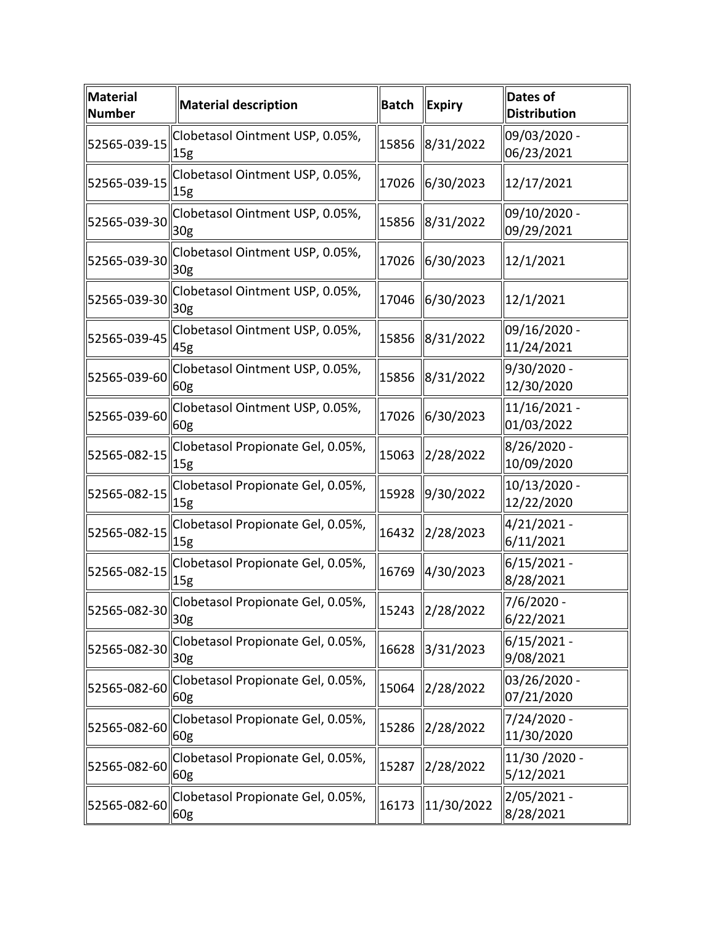| <b>Material</b><br><b>Number</b> | <b>Material description</b>                          | <b>Batch</b> | <b>Expiry</b> | <b>Dates of</b><br><b>Distribution</b> |
|----------------------------------|------------------------------------------------------|--------------|---------------|----------------------------------------|
| 52565-039-15                     | Clobetasol Ointment USP, 0.05%,<br>$\vert$ 15g       | 15856        | 8/31/2022     | 09/03/2020 -<br>06/23/2021             |
| 52565-039-15                     | Clobetasol Ointment USP, 0.05%,<br>15g               | 17026        | 6/30/2023     | 12/17/2021                             |
| 52565-039-30                     | Clobetasol Ointment USP, 0.05%,<br>30g               | 15856        | 8/31/2022     | 09/10/2020 -<br>09/29/2021             |
| 52565-039-30                     | Clobetasol Ointment USP, 0.05%,<br>30 <sub>g</sub>   | 17026        | 6/30/2023     | 12/1/2021                              |
| 52565-039-30                     | Clobetasol Ointment USP, 0.05%,<br>30 <sub>g</sub>   | 17046        | 6/30/2023     | 12/1/2021                              |
| 52565-039-45                     | Clobetasol Ointment USP, 0.05%,<br>45g               | 15856        | 8/31/2022     | 09/16/2020 -<br>11/24/2021             |
| 52565-039-60                     | Clobetasol Ointment USP, 0.05%,<br>60 <sub>g</sub>   | 15856        | 8/31/2022     | 9/30/2020 -<br>12/30/2020              |
| 52565-039-60                     | Clobetasol Ointment USP, 0.05%,<br>60g               | 17026        | 6/30/2023     | 11/16/2021 -<br>01/03/2022             |
| 52565-082-15                     | Clobetasol Propionate Gel, 0.05%,<br> 15g            | 15063        | 2/28/2022     | 8/26/2020 -<br>10/09/2020              |
| 52565-082-15                     | Clobetasol Propionate Gel, 0.05%,<br>15 <sub>g</sub> | 15928        | 9/30/2022     | 10/13/2020 -<br>12/22/2020             |
| 52565-082-15                     | Clobetasol Propionate Gel, 0.05%,<br> 15g            | 16432        | 2/28/2023     | 4/21/2021 -<br>6/11/2021               |
| 52565-082-15                     | Clobetasol Propionate Gel, 0.05%,<br>15g             | 16769        | 4/30/2023     | $6/15/2021 -$<br>8/28/2021             |
| $52565 - 082 - 30$ 30g           | Clobetasol Propionate Gel, 0.05%,                    | 15243        | 2/28/2022     | 7/6/2020 -<br>6/22/2021                |
| 52565-082-30                     | Clobetasol Propionate Gel, 0.05%,<br>30 <sub>g</sub> | 16628        | 3/31/2023     | $6/15/2021 -$<br>9/08/2021             |
| 52565-082-60                     | Clobetasol Propionate Gel, 0.05%,<br>60g             | 15064        | 2/28/2022     | 03/26/2020 -<br>07/21/2020             |
| 52565-082-60                     | Clobetasol Propionate Gel, 0.05%,<br>60g             | 15286        | 2/28/2022     | 7/24/2020 -<br>11/30/2020              |
| 52565-082-60                     | Clobetasol Propionate Gel, 0.05%,<br>60g             | 15287        | 2/28/2022     | 11/30 /2020 -<br>5/12/2021             |
| 52565-082-60                     | Clobetasol Propionate Gel, 0.05%,<br>60g             | 16173        | 11/30/2022    | 2/05/2021 -<br>8/28/2021               |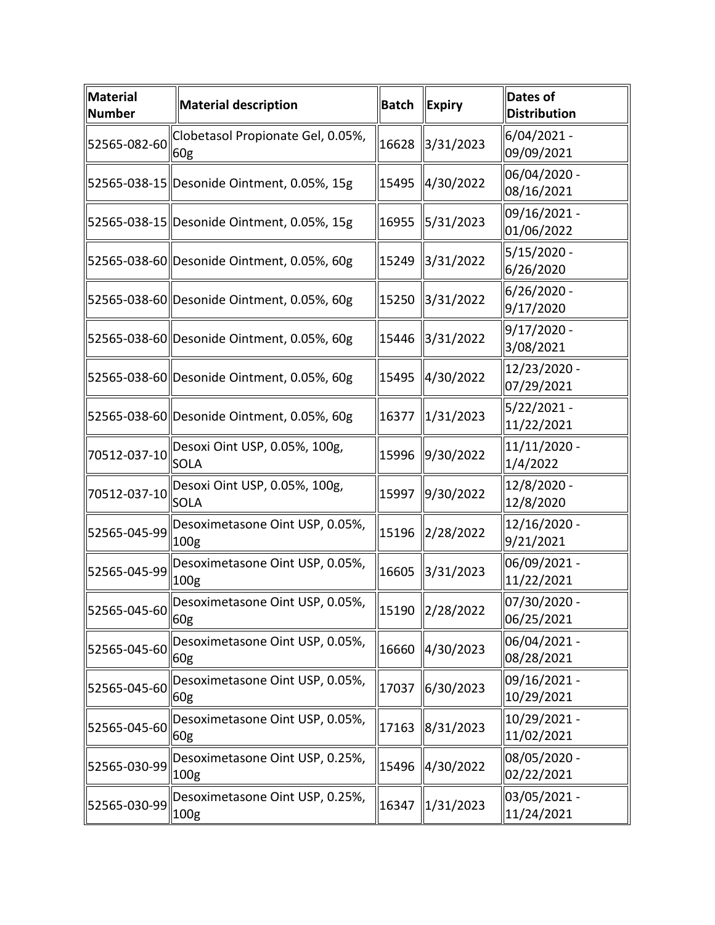| <b>Material</b><br><b>Number</b> | <b>Material description</b>                          | <b>Batch</b> | <b>Expiry</b> | <b>Dates of</b><br><b>Distribution</b> |
|----------------------------------|------------------------------------------------------|--------------|---------------|----------------------------------------|
| 52565-082-60                     | Clobetasol Propionate Gel, 0.05%,<br>$\parallel$ 60g | 16628        | 3/31/2023     | 6/04/2021 -<br>09/09/2021              |
|                                  | 52565-038-15 Desonide Ointment, 0.05%, 15g           | 15495        | 4/30/2022     | 06/04/2020 -<br>08/16/2021             |
|                                  | 52565-038-15 Desonide Ointment, 0.05%, 15g           | 16955        | 5/31/2023     | 09/16/2021 -<br>01/06/2022             |
|                                  | 52565-038-60 Desonide Ointment, 0.05%, 60g           | 15249        | 3/31/2022     | 5/15/2020 -<br>6/26/2020               |
|                                  | 52565-038-60 Desonide Ointment, 0.05%, 60g           | 15250        | 3/31/2022     | 6/26/2020 -<br>9/17/2020               |
|                                  | 52565-038-60 Desonide Ointment, 0.05%, 60g           | 15446        | 3/31/2022     | 9/17/2020 -<br>3/08/2021               |
|                                  | 52565-038-60 Desonide Ointment, 0.05%, 60g           | 15495        | 4/30/2022     | 12/23/2020 -<br>07/29/2021             |
|                                  | 52565-038-60 Desonide Ointment, 0.05%, 60g           | 16377        | 1/31/2023     | 5/22/2021-<br>11/22/2021               |
| 70512-037-10                     | Desoxi Oint USP, 0.05%, 100g,<br><b>SOLA</b>         | 15996        | 9/30/2022     | 11/11/2020 -<br>1/4/2022               |
| 70512-037-10                     | Desoxi Oint USP, 0.05%, 100g,<br><b>SOLA</b>         | 15997        | 9/30/2022     | 12/8/2020 -<br>12/8/2020               |
| 52565-045-99                     | Desoximetasone Oint USP, 0.05%,<br>100g              | 15196        | 2/28/2022     | 12/16/2020 -<br>9/21/2021              |
| 52565-045-99                     | Desoximetasone Oint USP, 0.05%,<br>100g              | 16605        | 3/31/2023     | 06/09/2021 -<br>11/22/2021             |
| $52565 - 045 - 60$ 60g           | Desoximetasone Oint USP, 0.05%,                      | 15190        | 2/28/2022     | 07/30/2020 -<br>06/25/2021             |
| 52565-045-60                     | Desoximetasone Oint USP, 0.05%,<br>60 <sub>g</sub>   | 16660        | 4/30/2023     | 06/04/2021 -<br>08/28/2021             |
| 52565-045-60                     | Desoximetasone Oint USP, 0.05%,<br>60g               | 17037        | 6/30/2023     | 09/16/2021 -<br>10/29/2021             |
| 52565-045-60                     | Desoximetasone Oint USP, 0.05%,<br>60 <sub>g</sub>   | 17163        | 8/31/2023     | 10/29/2021 -<br>11/02/2021             |
| 52565-030-99                     | Desoximetasone Oint USP, 0.25%,<br>100g              | 15496        | 4/30/2022     | 08/05/2020 -<br>02/22/2021             |
| 52565-030-99                     | Desoximetasone Oint USP, 0.25%,<br>100g              | 16347        | 1/31/2023     | 03/05/2021 -<br>11/24/2021             |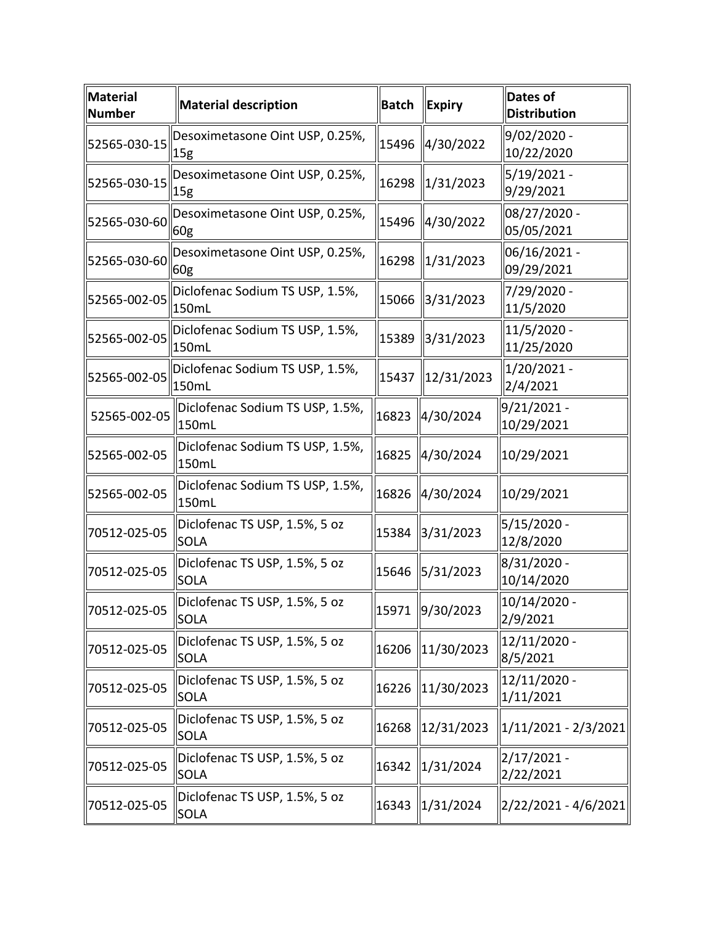| <b>Material</b><br><b>Number</b> | <b>Material description</b>                  | <b>Batch</b> | <b>Expiry</b>          | <b>Dates of</b><br><b>Distribution</b> |
|----------------------------------|----------------------------------------------|--------------|------------------------|----------------------------------------|
| 52565-030-15                     | Desoximetasone Oint USP, 0.25%,<br>  15g     | 15496        | 4/30/2022              | 9/02/2020 -<br>10/22/2020              |
| 52565-030-15                     | Desoximetasone Oint USP, 0.25%,<br> 15g      | 16298        | 1/31/2023              | $5/19/2021 -$<br>9/29/2021             |
| 52565-030-60                     | Desoximetasone Oint USP, 0.25%,<br>60g       | 15496        | 4/30/2022              | 08/27/2020 -<br>05/05/2021             |
| 52565-030-60                     | Desoximetasone Oint USP, 0.25%,<br>60g       | 16298        | 1/31/2023              | 06/16/2021 -<br>09/29/2021             |
| 52565-002-05                     | Diclofenac Sodium TS USP, 1.5%,<br>150mL     | 15066        | 3/31/2023              | 7/29/2020 -<br>11/5/2020               |
| 52565-002-05                     | Diclofenac Sodium TS USP, 1.5%,<br>150mL     | 15389        | 3/31/2023              | 11/5/2020 -<br>11/25/2020              |
| 52565-002-05                     | Diclofenac Sodium TS USP, 1.5%,<br>150mL     | 15437        | 12/31/2023             | $1/20/2021 -$<br>2/4/2021              |
| 52565-002-05                     | Diclofenac Sodium TS USP, 1.5%,<br>150mL     | 16823        | 4/30/2024              | 9/21/2021 -<br>10/29/2021              |
| 52565-002-05                     | Diclofenac Sodium TS USP, 1.5%,<br>150mL     | 16825        | 4/30/2024              | 10/29/2021                             |
| 52565-002-05                     | Diclofenac Sodium TS USP, 1.5%,<br>150mL     | 16826        | 4/30/2024              | 10/29/2021                             |
| 70512-025-05                     | Diclofenac TS USP, 1.5%, 5 oz<br><b>SOLA</b> | 15384        | 3/31/2023              | 5/15/2020 -<br>12/8/2020               |
| 70512-025-05                     | Diclofenac TS USP, 1.5%, 5 oz<br><b>SOLA</b> | 15646        | 5/31/2023              | 8/31/2020 -<br>10/14/2020              |
| 70512-025-05                     | Diclofenac TS USP, 1.5%, 5 oz<br><b>SOLA</b> |              | 15971 9/30/2023        | 10/14/2020 -<br>2/9/2021               |
| 70512-025-05                     | Diclofenac TS USP, 1.5%, 5 oz<br><b>SOLA</b> | 16206        | $\parallel$ 11/30/2023 | 12/11/2020 -<br>8/5/2021               |
| 70512-025-05                     | Diclofenac TS USP, 1.5%, 5 oz<br><b>SOLA</b> | 16226        | $\parallel$ 11/30/2023 | 12/11/2020 -<br>1/11/2021              |
| 70512-025-05                     | Diclofenac TS USP, 1.5%, 5 oz<br><b>SOLA</b> | 16268        | 12/31/2023             | $ 1/11/2021 - 2/3/2021 $               |
| 70512-025-05                     | Diclofenac TS USP, 1.5%, 5 oz<br>SOLA        | 16342        | 1/31/2024              | 2/17/2021 -<br>2/22/2021               |
| 70512-025-05                     | Diclofenac TS USP, 1.5%, 5 oz<br><b>SOLA</b> | 16343        | $\parallel$ 1/31/2024  | 2/22/2021 - 4/6/2021                   |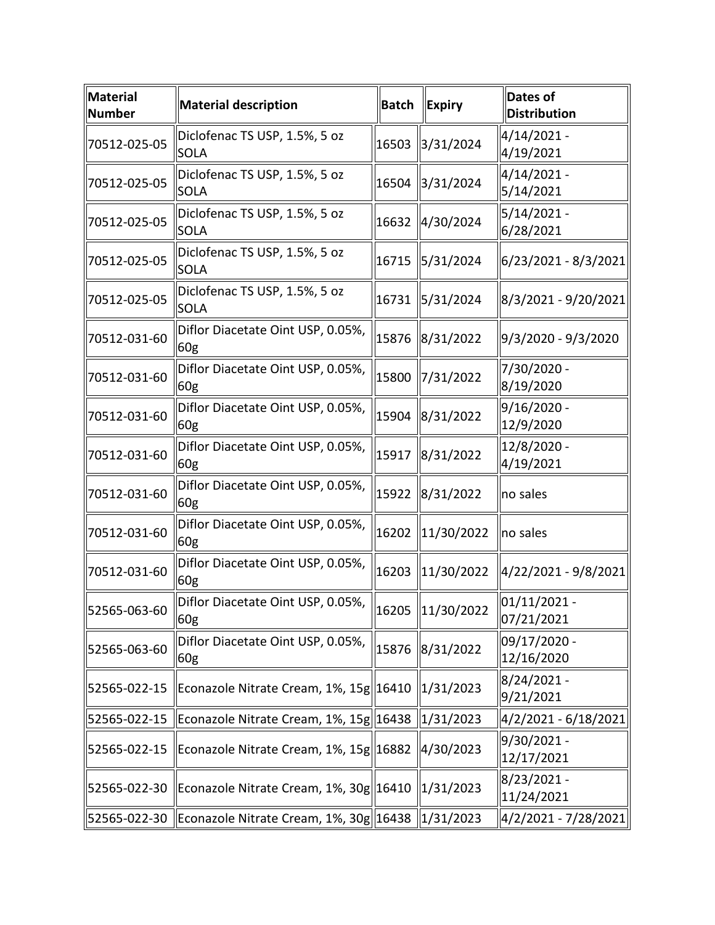| <b>Material</b><br><b>Number</b> | <b>Material description</b>                          | <b>Batch</b> | <b>Expiry</b>         | <b>Dates of</b><br><b>Distribution</b> |
|----------------------------------|------------------------------------------------------|--------------|-----------------------|----------------------------------------|
| 70512-025-05                     | Diclofenac TS USP, 1.5%, 5 oz<br><b>SOLA</b>         | 16503        | 3/31/2024             | 4/14/2021 -<br>4/19/2021               |
| 70512-025-05                     | Diclofenac TS USP, 1.5%, 5 oz<br><b>SOLA</b>         | 16504        | 3/31/2024             | 4/14/2021 -<br>5/14/2021               |
| 70512-025-05                     | Diclofenac TS USP, 1.5%, 5 oz<br>SOLA                | 16632        | 4/30/2024             | $5/14/2021 -$<br>6/28/2021             |
| 70512-025-05                     | Diclofenac TS USP, 1.5%, 5 oz<br><b>SOLA</b>         | 16715        | 5/31/2024             | 6/23/2021 - 8/3/2021                   |
| 70512-025-05                     | Diclofenac TS USP, 1.5%, 5 oz<br><b>SOLA</b>         | 16731        | $\frac{15}{31/2024}$  | 8/3/2021 - 9/20/2021                   |
| 70512-031-60                     | Diflor Diacetate Oint USP, 0.05%,<br>60g             | 15876        | 8/31/2022             | 9/3/2020 - 9/3/2020                    |
| 70512-031-60                     | Diflor Diacetate Oint USP, 0.05%,<br>60g             | 15800        | 7/31/2022             | 7/30/2020 -<br>8/19/2020               |
| 70512-031-60                     | Diflor Diacetate Oint USP, 0.05%,<br>60g             | 15904        | 8/31/2022             | 9/16/2020 -<br>12/9/2020               |
| 70512-031-60                     | Diflor Diacetate Oint USP, 0.05%,<br>60g             | 15917        | 8/31/2022             | 12/8/2020 -<br>4/19/2021               |
| 70512-031-60                     | Diflor Diacetate Oint USP, 0.05%,<br>60g             | 15922        | $\ 8/31/2022\ $       | no sales                               |
| 70512-031-60                     | Diflor Diacetate Oint USP, 0.05%,<br>60g             | 16202        | 11/30/2022            | no sales                               |
| 70512-031-60                     | Diflor Diacetate Oint USP, 0.05%,<br>60g             | 16203        | 11/30/2022            | 4/22/2021 - 9/8/2021                   |
| 52565-063-60                     | Diflor Diacetate Oint USP, 0.05%,<br>$\parallel$ 60g |              | 16205 11/30/2022      | $ 01/11/2021 -$<br>07/21/2021          |
| 52565-063-60                     | Diflor Diacetate Oint USP, 0.05%,<br>60g             | 15876        | 8/31/2022             | 09/17/2020 -<br>12/16/2020             |
| 52565-022-15                     | Econazole Nitrate Cream, 1%, 15g 16410               |              | 1/31/2023             | 8/24/2021 -<br>9/21/2021               |
| 52565-022-15                     | Econazole Nitrate Cream, 1%, 15g  16438              |              | 1/31/2023             | 4/2/2021 - 6/18/2021                   |
| 52565-022-15                     | Econazole Nitrate Cream, 1%, 15g 16882               |              | 4/30/2023             | 9/30/2021 -<br>12/17/2021              |
| 52565-022-30                     | Econazole Nitrate Cream, 1%, 30g 16410               |              | 1/31/2023             | 8/23/2021 -<br>11/24/2021              |
| 52565-022-30                     | Econazole Nitrate Cream, 1%, 30g 16438               |              | $\parallel$ 1/31/2023 | 4/2/2021 - 7/28/2021                   |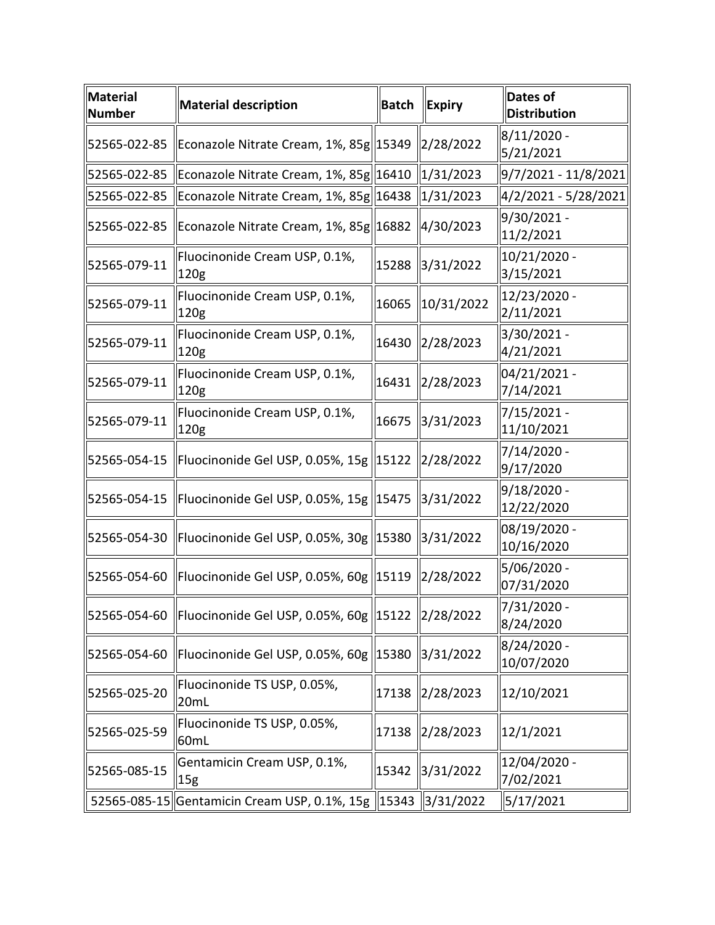| Material<br><b>Number</b> | <b>Material description</b>                                         | <b>Batch</b> | <b>Expiry</b>          | <b>Dates of</b><br><b>Distribution</b> |
|---------------------------|---------------------------------------------------------------------|--------------|------------------------|----------------------------------------|
|                           | 52565-022-85   Econazole Nitrate Cream, 1%, 85g  15349              |              | $\ 2/28/2022$          | $8/11/2020$ -<br>5/21/2021             |
| 52565-022-85              | Econazole Nitrate Cream, 1%, 85g 16410 1/31/2023                    |              |                        | 9/7/2021 - 11/8/2021                   |
| 52565-022-85              | Econazole Nitrate Cream, 1%, 85g 16438 1/31/2023                    |              |                        | 4/2/2021 - 5/28/2021                   |
| 52565-022-85              | Econazole Nitrate Cream, 1%, 85g 16882 4/30/2023                    |              |                        | 9/30/2021 -<br>11/2/2021               |
| 52565-079-11              | Fluocinonide Cream USP, 0.1%,<br>120g                               | 15288        | 3/31/2022              | 10/21/2020 -<br>3/15/2021              |
| 52565-079-11              | Fluocinonide Cream USP, 0.1%,<br>120g                               | 16065        | 10/31/2022             | $12/23/2020$ -<br>2/11/2021            |
| 52565-079-11              | Fluocinonide Cream USP, 0.1%,<br>120 <sub>g</sub>                   | 16430        | $\ 2/28/2023$          | 3/30/2021 -<br>4/21/2021               |
| 52565-079-11              | Fluocinonide Cream USP, 0.1%,<br>120g                               | 16431        | 2/28/2023              | 04/21/2021 -<br>7/14/2021              |
| 52565-079-11              | Fluocinonide Cream USP, 0.1%,<br>$\vert$ 120g                       | 16675        | 3/31/2023              | 7/15/2021 -<br>11/10/2021              |
|                           | 52565-054-15   Fluocinonide Gel USP, 0.05%, 15g   15122   2/28/2022 |              |                        | 7/14/2020 -<br>9/17/2020               |
| 52565-054-15              | Fluocinonide Gel USP, 0.05%, 15g 15475 3/31/2022                    |              |                        | 9/18/2020 -<br>12/22/2020              |
|                           | 52565-054-30   Fluocinonide Gel USP, 0.05%, 30g   15380   3/31/2022 |              |                        | 08/19/2020 -<br>10/16/2020             |
|                           | 52565-054-60   Fluocinonide Gel USP, 0.05%, 60g   15119   2/28/2022 |              |                        | 5/06/2020 -<br>07/31/2020              |
|                           | 52565-054-60   Fluocinonide Gel USP, 0.05%, 60g   15122   2/28/2022 |              |                        | 7/31/2020<br>8/24/2020                 |
| 52565-054-60              | Fluocinonide Gel USP, 0.05%, 60g $\parallel$ 15380                  |              | $\frac{1}{3}$ /31/2022 | 8/24/2020 -<br>10/07/2020              |
| 52565-025-20              | Fluocinonide TS USP, 0.05%,<br>20mL                                 | 17138        | 2/28/2023              | 12/10/2021                             |
| 52565-025-59              | Fluocinonide TS USP, 0.05%,<br>60mL                                 | 17138        | $\ 2/28/2023$          | 12/1/2021                              |
| 52565-085-15              | Gentamicin Cream USP, 0.1%,<br>15g                                  | 15342        | 3/31/2022              | 12/04/2020 -<br>7/02/2021              |
|                           | 52565-085-15 Gentamicin Cream USP, 0.1%, 15g 15343 3/31/2022        |              |                        | 5/17/2021                              |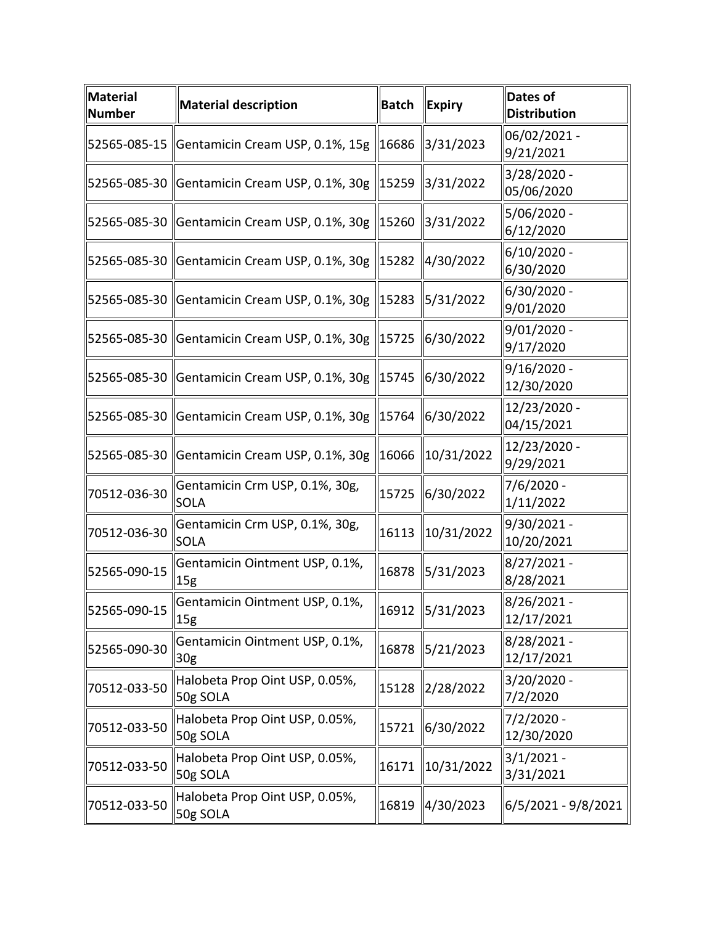| <b>Material</b><br>Number | <b>Material description</b>                                        | <b>Batch</b> | <b>Expiry</b>   | Dates of<br><b>Distribution</b> |
|---------------------------|--------------------------------------------------------------------|--------------|-----------------|---------------------------------|
|                           | 52565-085-15   Gentamicin Cream USP, 0.1%, 15g   16686             |              | 3/31/2023       | 06/02/2021 -<br>9/21/2021       |
|                           | 52565-085-30   Gentamicin Cream USP, 0.1%, 30g   15259             |              | 3/31/2022       | 3/28/2020 -<br>05/06/2020       |
|                           | 52565-085-30   Gentamicin Cream USP, 0.1%, 30g   15260   3/31/2022 |              |                 | 5/06/2020 -<br>6/12/2020        |
| 52565-085-30              | Gentamicin Cream USP, 0.1%, 30g   15282   4/30/2022                |              |                 | $6/10/2020$ -<br>6/30/2020      |
|                           | 52565-085-30   Gentamicin Cream USP, 0.1%, 30g   15283   5/31/2022 |              |                 | 6/30/2020 -<br>9/01/2020        |
|                           | 52565-085-30   Gentamicin Cream USP, 0.1%, 30g   15725             |              | 6/30/2022       | $9/01/2020$ -<br>9/17/2020      |
|                           | 52565-085-30   Gentamicin Cream USP, 0.1%, 30g   15745   6/30/2022 |              |                 | $9/16/2020$ -<br>12/30/2020     |
|                           | 52565-085-30   Gentamicin Cream USP, 0.1%, 30g   15764             |              | 6/30/2022       | 12/23/2020 -<br>04/15/2021      |
| 52565-085-30              | Gentamicin Cream USP, 0.1%, 30g                                    | 16066        | 10/31/2022      | 12/23/2020 -<br>9/29/2021       |
| 70512-036-30              | Gentamicin Crm USP, 0.1%, 30g,<br>SOLA                             | 15725        | 6/30/2022       | 7/6/2020 -<br>1/11/2022         |
| 70512-036-30              | Gentamicin Crm USP, 0.1%, 30g,<br><b>SOLA</b>                      | 16113        | 10/31/2022      | 9/30/2021 -<br>10/20/2021       |
| 52565-090-15              | Gentamicin Ointment USP, 0.1%,<br>15g                              | 16878        | 5/31/2023       | 8/27/2021 -<br>8/28/2021        |
| 52565-090-15              | Gentamicin Ointment USP, 0.1%,<br>15g                              |              | 16912 5/31/2023 | 8/26/2021 -<br>12/17/2021       |
| 52565-090-30              | Gentamicin Ointment USP, 0.1%,<br>30g                              | 16878        | 5/21/2023       | 8/28/2021 -<br>12/17/2021       |
| 70512-033-50              | Halobeta Prop Oint USP, 0.05%,<br>50g SOLA                         | 15128        | 2/28/2022       | 3/20/2020 -<br>7/2/2020         |
| 70512-033-50              | Halobeta Prop Oint USP, 0.05%,<br>50g SOLA                         | 15721        | 6/30/2022       | 7/2/2020 -<br>12/30/2020        |
| 70512-033-50              | Halobeta Prop Oint USP, 0.05%,<br>50g SOLA                         | 16171        | 10/31/2022      | $3/1/2021 -$<br>3/31/2021       |
| 70512-033-50              | Halobeta Prop Oint USP, 0.05%,<br>50g SOLA                         | 16819        | 4/30/2023       | 6/5/2021 - 9/8/2021             |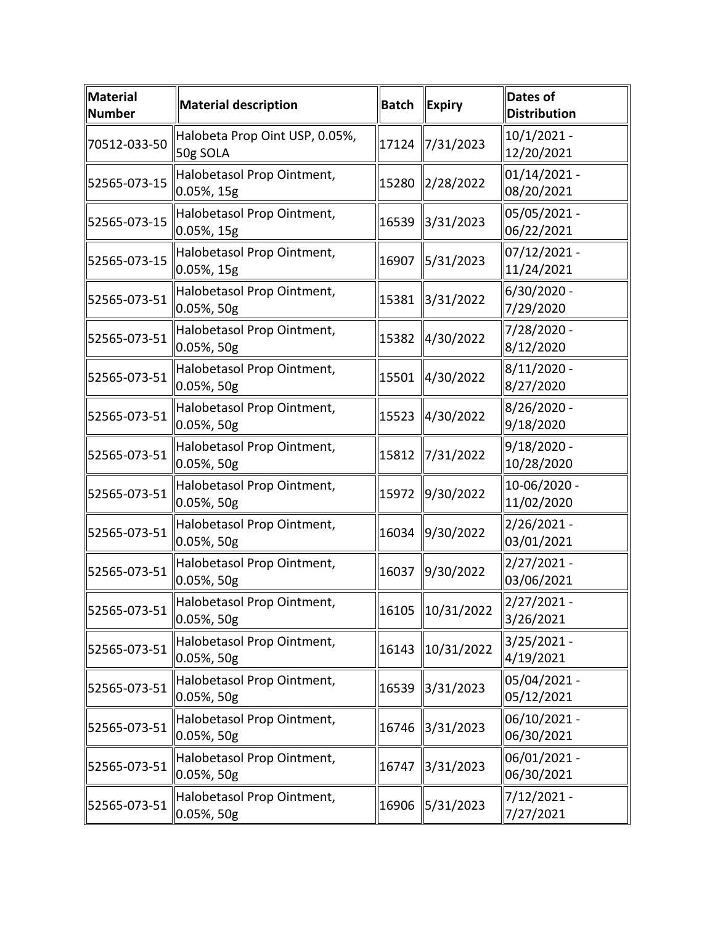| Material<br><b>Number</b> | <b>Material description</b>                 | <b>Batch</b> | <b>Expiry</b> | <b>Dates of</b><br><b>Distribution</b> |
|---------------------------|---------------------------------------------|--------------|---------------|----------------------------------------|
| 70512-033-50              | Halobeta Prop Oint USP, 0.05%,<br>50g SOLA  | 17124        | 7/31/2023     | $10/1/2021 -$<br>12/20/2021            |
| 52565-073-15              | Halobetasol Prop Ointment,<br>0.05%, 15g    | 15280        | 2/28/2022     | 01/14/2021 -<br>08/20/2021             |
| 52565-073-15              | Halobetasol Prop Ointment,<br>0.05%, 15g    | 16539        | 3/31/2023     | 05/05/2021 -<br>06/22/2021             |
| 52565-073-15              | Halobetasol Prop Ointment,<br>0.05%, 15g    | 16907        | 5/31/2023     | 07/12/2021 -<br>11/24/2021             |
| 52565-073-51              | Halobetasol Prop Ointment,<br>0.05%, 50g    | 15381        | 3/31/2022     | 6/30/2020 -<br>7/29/2020               |
| 52565-073-51              | Halobetasol Prop Ointment,<br>0.05%, 50g    | 15382        | 4/30/2022     | 7/28/2020 -<br>8/12/2020               |
| 52565-073-51              | Halobetasol Prop Ointment,<br>0.05%, 50g    | 15501        | 4/30/2022     | 8/11/2020 -<br>8/27/2020               |
| 52565-073-51              | Halobetasol Prop Ointment,<br>0.05%, 50g    | 15523        | 4/30/2022     | 8/26/2020 -<br>9/18/2020               |
| 52565-073-51              | Halobetasol Prop Ointment,<br>0.05%, 50g    | 15812        | 7/31/2022     | 9/18/2020 -<br>10/28/2020              |
| 52565-073-51              | Halobetasol Prop Ointment,<br>0.05%, 50g    | 15972        | 9/30/2022     | 10-06/2020 -<br>11/02/2020             |
| 52565-073-51              | Halobetasol Prop Ointment,<br>0.05%, 50g    | 16034        | 9/30/2022     | 2/26/2021 -<br>03/01/2021              |
| 52565-073-51              | Halobetasol Prop Ointment,<br>0.05%, 50g    | 16037        | 9/30/2022     | $2/27/2021 -$<br>03/06/2021            |
| 52565-073-51              | Halobetasol Prop Ointment,<br>$0.05%$ , 50g | 16105        | 10/31/2022    | 2/27/2021 -<br>3/26/2021               |
| 52565-073-51              | Halobetasol Prop Ointment,<br>0.05%, 50g    | 16143        | 10/31/2022    | $3/25/2021 -$<br>4/19/2021             |
| 52565-073-51              | Halobetasol Prop Ointment,<br>0.05%, 50g    | 16539        | 3/31/2023     | 05/04/2021 -<br>05/12/2021             |
| 52565-073-51              | Halobetasol Prop Ointment,<br>0.05%, 50g    | 16746        | 3/31/2023     | 06/10/2021 -<br>06/30/2021             |
| 52565-073-51              | Halobetasol Prop Ointment,<br>0.05%, 50g    | 16747        | 3/31/2023     | 06/01/2021 -<br>06/30/2021             |
| 52565-073-51              | Halobetasol Prop Ointment,<br>0.05%, 50g    | 16906        | 5/31/2023     | 7/12/2021 -<br>7/27/2021               |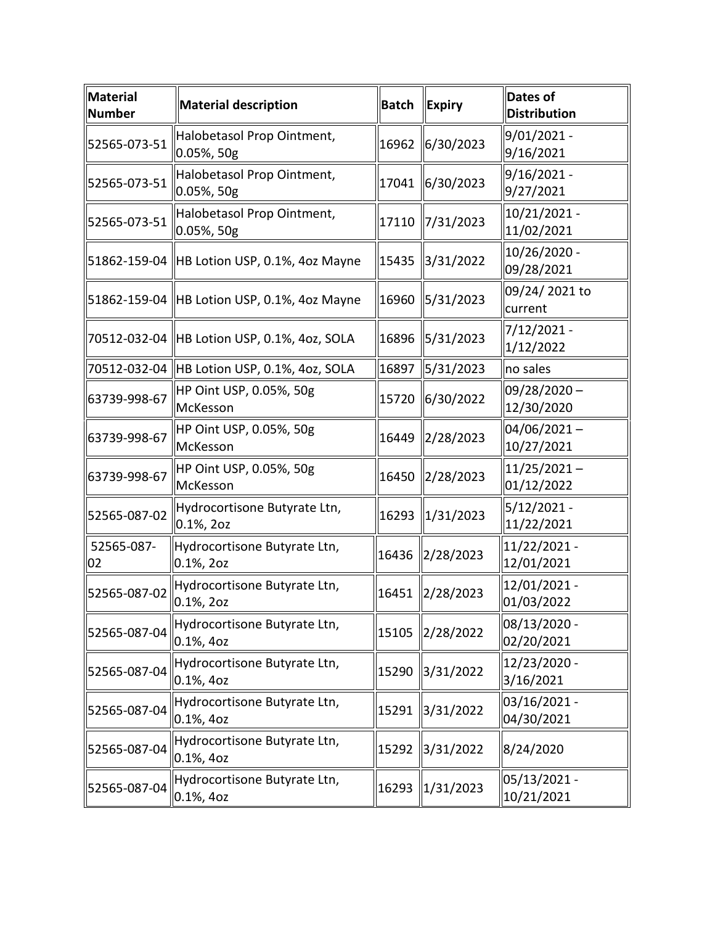| <b>Material</b><br><b>Number</b> | <b>Material description</b>                   | <b>Batch</b> | <b>Expiry</b> | <b>Dates of</b><br><b>Distribution</b> |
|----------------------------------|-----------------------------------------------|--------------|---------------|----------------------------------------|
| 52565-073-51                     | Halobetasol Prop Ointment,<br>0.05%, 50g      | 16962        | 6/30/2023     | $9/01/2021 -$<br>9/16/2021             |
| 52565-073-51                     | Halobetasol Prop Ointment,<br>0.05%, 50g      | 17041        | 6/30/2023     | $9/16/2021 -$<br>9/27/2021             |
| 52565-073-51                     | Halobetasol Prop Ointment,<br>0.05%, 50g      | 17110        | 7/31/2023     | 10/21/2021 -<br>11/02/2021             |
|                                  | 51862-159-04 HB Lotion USP, 0.1%, 4oz Mayne   | 15435        | 3/31/2022     | 10/26/2020 -<br>09/28/2021             |
|                                  | 51862-159-04 HB Lotion USP, 0.1%, 4oz Mayne   | 16960        | 5/31/2023     | 09/24/2021 to<br>current               |
|                                  | 70512-032-04 HB Lotion USP, 0.1%, 4oz, SOLA   | 16896        | 5/31/2023     | 7/12/2021 -<br>1/12/2022               |
|                                  | 70512-032-04 HB Lotion USP, 0.1%, 4oz, SOLA   | 16897        | 5/31/2023     | no sales                               |
| 63739-998-67                     | HP Oint USP, 0.05%, 50g<br>McKesson           | 15720        | 6/30/2022     | $09/28/2020 -$<br>12/30/2020           |
| 63739-998-67                     | HP Oint USP, 0.05%, 50g<br>McKesson           | 16449        | 2/28/2023     | $04/06/2021 -$<br>10/27/2021           |
| 63739-998-67                     | HP Oint USP, 0.05%, 50g<br>McKesson           | 16450        | 2/28/2023     | $11/25/2021 -$<br>01/12/2022           |
| 52565-087-02                     | Hydrocortisone Butyrate Ltn,<br>0.1%, 2oz     | 16293        | 1/31/2023     | $5/12/2021 -$<br>11/22/2021            |
| 52565-087-<br>02                 | Hydrocortisone Butyrate Ltn,<br>$0.1\%$ , 20z | 16436        | 2/28/2023     | 11/22/2021 -<br>12/01/2021             |
| 52565-087-02                     | Hydrocortisone Butyrate Ltn,<br>0.1%, 2oz     | 16451        | 2/28/2023     | 12/01/2021 -<br>01/03/2022             |
| 52565-087-04                     | Hydrocortisone Butyrate Ltn,<br>0.1%, 4oz     | 15105        | 2/28/2022     | 08/13/2020 -<br>02/20/2021             |
| 52565-087-04                     | Hydrocortisone Butyrate Ltn,<br>$0.1\%$ , 40z | 15290        | 3/31/2022     | 12/23/2020 -<br>3/16/2021              |
| 52565-087-04                     | Hydrocortisone Butyrate Ltn,<br>$0.1\%$ , 40z | 15291        | 3/31/2022     | 03/16/2021 -<br>04/30/2021             |
| 52565-087-04                     | Hydrocortisone Butyrate Ltn,<br>0.1%, 4oz     | 15292        | 3/31/2022     | 8/24/2020                              |
| 52565-087-04                     | Hydrocortisone Butyrate Ltn,<br>0.1%, 4oz     | 16293        | 1/31/2023     | $ 05/13/2021 -$<br>10/21/2021          |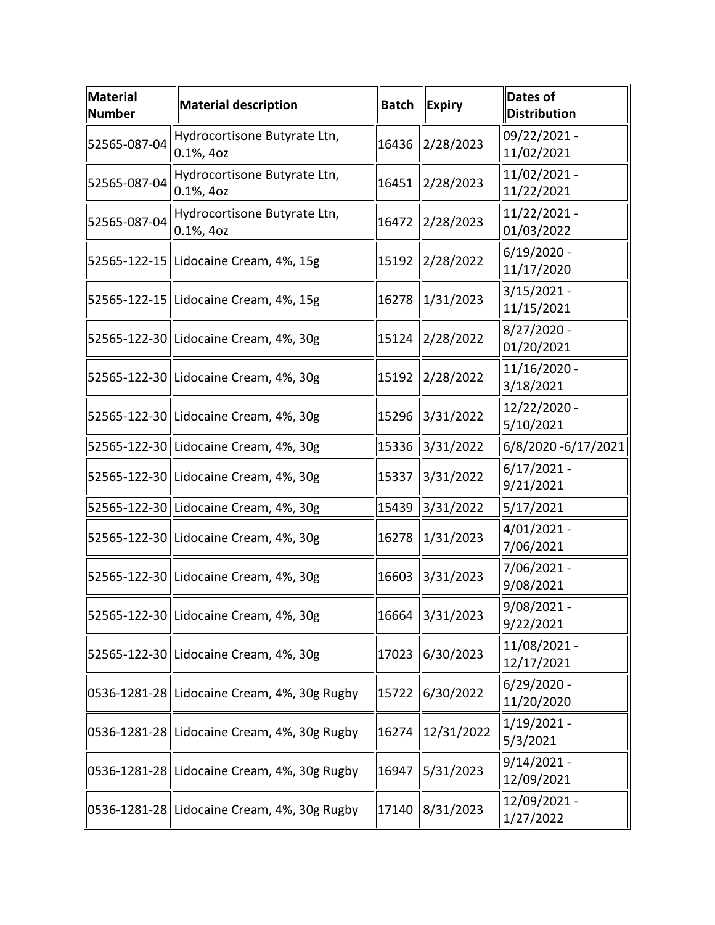| <b>Material</b><br><b>Number</b> | <b>Material description</b>                   | <b>Batch</b> | <b>Expiry</b>   | Dates of<br><b>Distribution</b> |
|----------------------------------|-----------------------------------------------|--------------|-----------------|---------------------------------|
| 52565-087-04                     | Hydrocortisone Butyrate Ltn,<br>0.1%, 4oz     | 16436        | 2/28/2023       | 09/22/2021 -<br>11/02/2021      |
| 52565-087-04                     | Hydrocortisone Butyrate Ltn,<br>$0.1\%$ , 40z | 16451        | 2/28/2023       | 11/02/2021 -<br>11/22/2021      |
| 52565-087-04                     | Hydrocortisone Butyrate Ltn,<br>$0.1\%$ , 40z | 16472        | 2/28/2023       | 11/22/2021 -<br>01/03/2022      |
|                                  | 52565-122-15  Lidocaine Cream, 4%, 15g        | 15192        | 2/28/2022       | 6/19/2020 -<br>11/17/2020       |
|                                  | 52565-122-15 Lidocaine Cream, 4%, 15g         | 16278        | 1/31/2023       | $3/15/2021 -$<br>11/15/2021     |
|                                  | 52565-122-30 Lidocaine Cream, 4%, 30g         | 15124        | 2/28/2022       | 8/27/2020 -<br>01/20/2021       |
|                                  | 52565-122-30 Lidocaine Cream, 4%, 30g         | 15192        | 2/28/2022       | 11/16/2020 -<br>3/18/2021       |
|                                  | 52565-122-30 Lidocaine Cream, 4%, 30g         | 15296        | 3/31/2022       | 12/22/2020 -<br>5/10/2021       |
|                                  | 52565-122-30 Lidocaine Cream, 4%, 30g         | 15336        | 3/31/2022       | 6/8/2020 -6/17/2021             |
|                                  | 52565-122-30 Lidocaine Cream, 4%, 30g         | 15337        | 3/31/2022       | 6/17/2021 -<br>9/21/2021        |
|                                  | 52565-122-30 Lidocaine Cream, 4%, 30g         | 15439        | 3/31/2022       | 5/17/2021                       |
|                                  | 52565-122-30 Lidocaine Cream, 4%, 30g         | 16278        | 1/31/2023       | 4/01/2021 -<br>7/06/2021        |
|                                  | 52565-122-30 Lidocaine Cream, 4%, 30g         | 16603        | 3/31/2023       | 7/06/2021 -<br>9/08/2021        |
|                                  | 52565-122-30 Lidocaine Cream, 4%, 30g         |              | 16664 3/31/2023 | 9/08/2021 -<br>9/22/2021        |
|                                  | 52565-122-30 Lidocaine Cream, 4%, 30g         | 17023        | 6/30/2023       | 11/08/2021 -<br>12/17/2021      |
|                                  | 0536-1281-28 Lidocaine Cream, 4%, 30g Rugby   | 15722        | 6/30/2022       | 6/29/2020 -<br>11/20/2020       |
|                                  | 0536-1281-28 Lidocaine Cream, 4%, 30g Rugby   | 16274        | 12/31/2022      | 1/19/2021 -<br>5/3/2021         |
|                                  | 0536-1281-28 Lidocaine Cream, 4%, 30g Rugby   | 16947        | 5/31/2023       | 9/14/2021 -<br>12/09/2021       |
|                                  | 0536-1281-28 Lidocaine Cream, 4%, 30g Rugby   | 17140        | 8/31/2023       | 12/09/2021 -<br>1/27/2022       |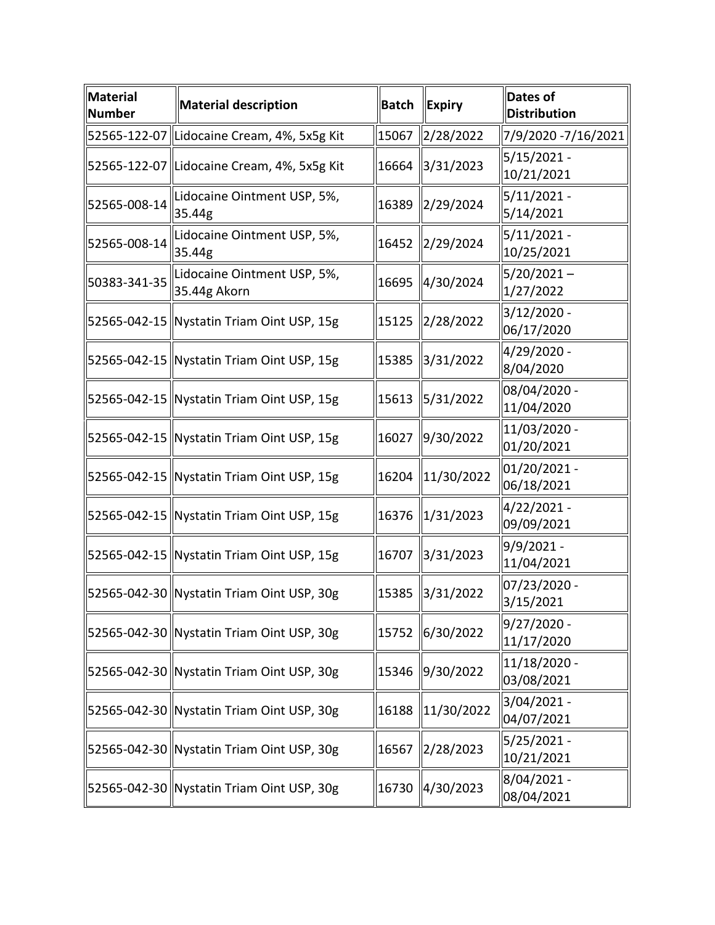| Material<br>Number | <b>Material description</b>                 | <b>Batch</b> | <b>Expiry</b>                                                  | Dates of<br><b>Distribution</b> |
|--------------------|---------------------------------------------|--------------|----------------------------------------------------------------|---------------------------------|
|                    | 52565-122-07  Lidocaine Cream, 4%, 5x5g Kit | 15067        | 2/28/2022                                                      | 7/9/2020 -7/16/2021             |
|                    | 52565-122-07 Lidocaine Cream, 4%, 5x5g Kit  | 16664        | $\frac{1}{3}$ /31/2023                                         | $5/15/2021 -$<br>10/21/2021     |
| 52565-008-14       | Lidocaine Ointment USP, 5%,<br>35.44g       |              | 16389 2/29/2024                                                | $5/11/2021 -$<br>5/14/2021      |
| 52565-008-14       | Lidocaine Ointment USP, 5%,<br>35.44g       | 16452        | $\frac{2}{29/2024}$                                            | $5/11/2021 -$<br>10/25/2021     |
| 50383-341-35       | Lidocaine Ointment USP, 5%,<br>35.44g Akorn | 16695        | 4/30/2024                                                      | $5/20/2021 -$<br>1/27/2022      |
|                    | 52565-042-15 Nystatin Triam Oint USP, 15g   | 15125        | 2/28/2022                                                      | $3/12/2020 -$<br>06/17/2020     |
|                    | 52565-042-15 Nystatin Triam Oint USP, 15g   | 15385        | 3/31/2022                                                      | 4/29/2020 -<br>8/04/2020        |
|                    | 52565-042-15  Nystatin Triam Oint USP, 15g  | 15613        | 5/31/2022                                                      | 08/04/2020 -<br>11/04/2020      |
|                    | 52565-042-15 Nystatin Triam Oint USP, 15g   | 16027        | 9/30/2022                                                      | 11/03/2020 -<br>01/20/2021      |
|                    | 52565-042-15 Nystatin Triam Oint USP, 15g   | 16204        | $\left  \frac{11}{30} \right  \left  \frac{2022}{200} \right $ | 01/20/2021 -<br>06/18/2021      |
|                    | 52565-042-15 Nystatin Triam Oint USP, 15g   | 16376        | 1/31/2023                                                      | 4/22/2021 -<br>09/09/2021       |
|                    | 52565-042-15 Nystatin Triam Oint USP, 15g   | 16707        | $\frac{3}{31/2023}$                                            | $9/9/2021 -$<br>11/04/2021      |
|                    | 52565-042-30   Nystatin Triam Oint USP, 30g |              | 15385 3/31/2022                                                | 07/23/2020 -<br>3/15/2021       |
|                    | 52565-042-30 Nystatin Triam Oint USP, 30g   | 15752        | 6/30/2022                                                      | 9/27/2020 -<br>11/17/2020       |
|                    | 52565-042-30 Nystatin Triam Oint USP, 30g   | 15346        | 9/30/2022                                                      | 11/18/2020 -<br>03/08/2021      |
|                    | 52565-042-30 Nystatin Triam Oint USP, 30g   | 16188        | $\left  \frac{11}{30} \right  \left  \frac{2022}{200} \right $ | 3/04/2021 -<br>04/07/2021       |
|                    | 52565-042-30 Nystatin Triam Oint USP, 30g   | 16567        | 2/28/2023                                                      | 5/25/2021 -<br>10/21/2021       |
|                    | 52565-042-30 Nystatin Triam Oint USP, 30g   | 16730        | $\frac{4}{30/2023}$                                            | 8/04/2021 -<br>08/04/2021       |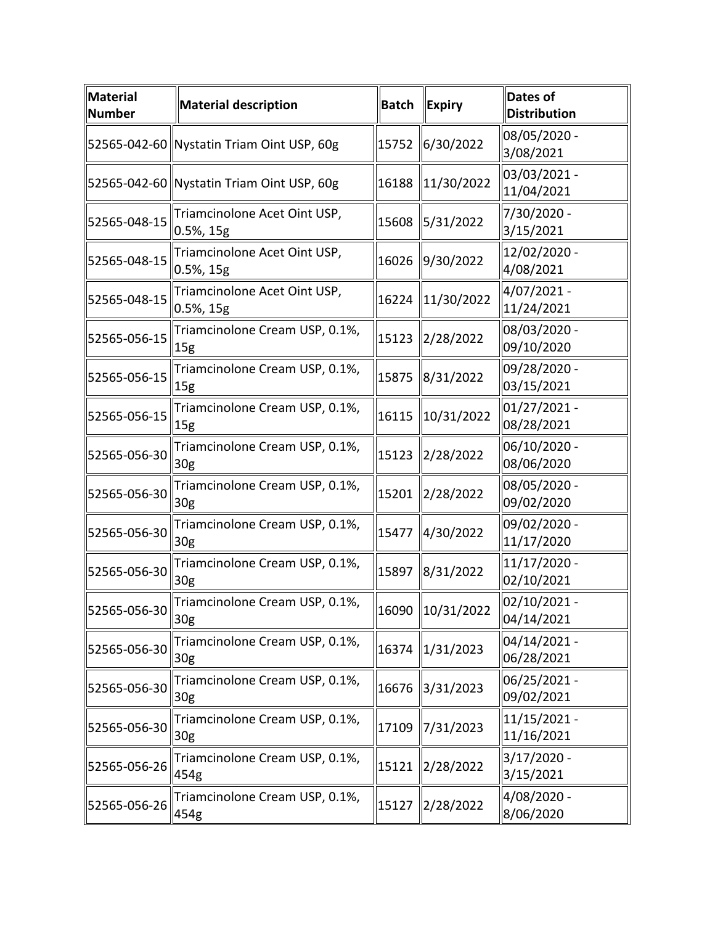| <b>Material</b><br><b>Number</b> | <b>Material description</b>                       | <b>Batch</b> | <b>Expiry</b>    | <b>Dates of</b><br><b>Distribution</b> |
|----------------------------------|---------------------------------------------------|--------------|------------------|----------------------------------------|
|                                  | 52565-042-60 Nystatin Triam Oint USP, 60g         | 15752        | 6/30/2022        | 08/05/2020 -<br>3/08/2021              |
|                                  | 52565-042-60 Nystatin Triam Oint USP, 60g         | 16188        | 11/30/2022       | 03/03/2021 -<br>11/04/2021             |
| 52565-048-15                     | Triamcinolone Acet Oint USP,<br>$0.5\%$ , 15g     | 15608        | 5/31/2022        | 7/30/2020 -<br>3/15/2021               |
| 52565-048-15                     | Triamcinolone Acet Oint USP,<br>$0.5%$ , 15g      | 16026        | 9/30/2022        | 12/02/2020 -<br>4/08/2021              |
| 52565-048-15                     | Triamcinolone Acet Oint USP,<br>0.5%, 15g         | 16224        | 11/30/2022       | 4/07/2021 -<br>11/24/2021              |
| 52565-056-15                     | Triamcinolone Cream USP, 0.1%,<br>15 <sub>g</sub> | 15123        | 2/28/2022        | 08/03/2020 -<br>09/10/2020             |
| 52565-056-15                     | Triamcinolone Cream USP, 0.1%,<br> 15g            | 15875        | 8/31/2022        | 09/28/2020 -<br>03/15/2021             |
| 52565-056-15                     | Triamcinolone Cream USP, 0.1%,<br>15 <sub>g</sub> | 16115        | 10/31/2022       | $01/27/2021 -$<br>08/28/2021           |
| 52565-056-30                     | Triamcinolone Cream USP, 0.1%,<br>30 <sub>g</sub> | 15123        | 2/28/2022        | 06/10/2020 -<br>08/06/2020             |
| 52565-056-30                     | Triamcinolone Cream USP, 0.1%,<br>30g             | 15201        | 2/28/2022        | 08/05/2020 -<br>09/02/2020             |
| 52565-056-30                     | Triamcinolone Cream USP, 0.1%,<br> 30g            | 15477        | 4/30/2022        | 09/02/2020 -<br>11/17/2020             |
| 52565-056-30                     | Triamcinolone Cream USP, 0.1%,<br>30g             | 15897        | 8/31/2022        | 11/17/2020 -<br>02/10/2021             |
| 52565-056-30                     | Triamcinolone Cream USP, 0.1%,<br>$\parallel 30g$ |              | 16090 10/31/2022 | 02/10/2021 -<br>04/14/2021             |
| 52565-056-30                     | Triamcinolone Cream USP, 0.1%,<br>30g             | 16374        | 1/31/2023        | $04/14/2021 -$<br>06/28/2021           |
| 52565-056-30                     | Triamcinolone Cream USP, 0.1%,<br>30g             | 16676        | 3/31/2023        | 06/25/2021 -<br>09/02/2021             |
| 52565-056-30                     | Triamcinolone Cream USP, 0.1%,<br>30 <sub>g</sub> | 17109        | 7/31/2023        | $11/15/2021 -$<br>11/16/2021           |
| 52565-056-26                     | Triamcinolone Cream USP, 0.1%,<br>454g            | 15121        | 2/28/2022        | 3/17/2020 -<br>3/15/2021               |
| 52565-056-26                     | Triamcinolone Cream USP, 0.1%,<br>454g            | 15127        | 2/28/2022        | 4/08/2020 -<br>8/06/2020               |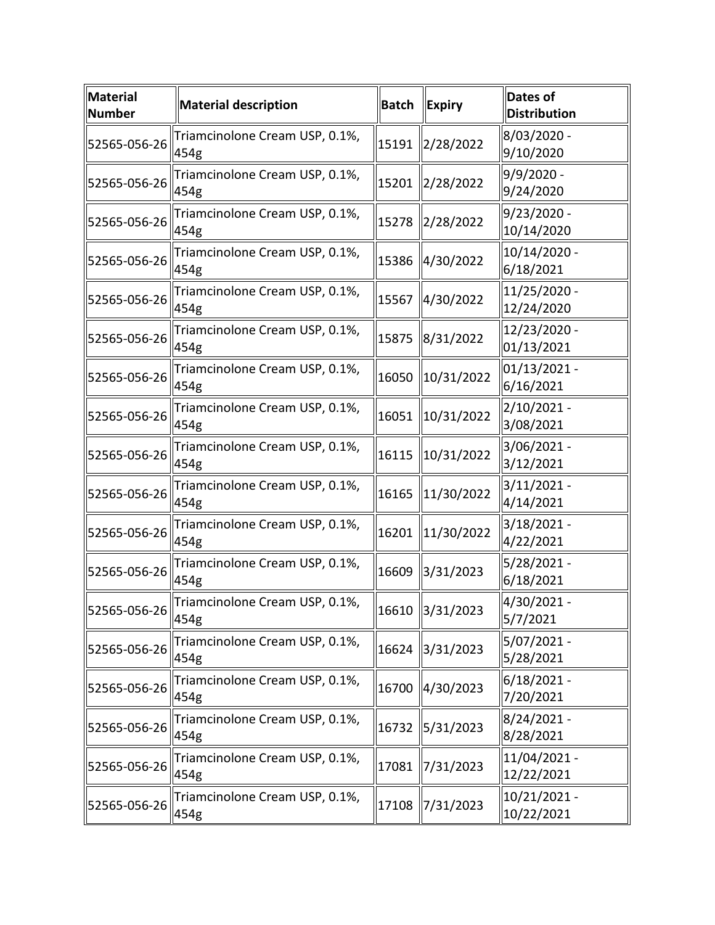| Material<br><b>Number</b>                | <b>Material description</b>            | <b>Batch</b> | <b>Expiry</b>   | <b>Dates of</b><br><b>Distribution</b> |
|------------------------------------------|----------------------------------------|--------------|-----------------|----------------------------------------|
| 52565-056-26                             | Triamcinolone Cream USP, 0.1%,<br>454g | 15191        | 2/28/2022       | 8/03/2020 -<br>9/10/2020               |
| 52565-056-26                             | Triamcinolone Cream USP, 0.1%,<br>454g | 15201        | 2/28/2022       | 9/9/2020 -<br>9/24/2020                |
| 52565-056-26                             | Triamcinolone Cream USP, 0.1%,<br>454g | 15278        | 2/28/2022       | $9/23/2020$ -<br>10/14/2020            |
| 52565-056-26                             | Triamcinolone Cream USP, 0.1%,<br>454g | 15386        | 4/30/2022       | 10/14/2020 -<br>6/18/2021              |
| 52565-056-26                             | Triamcinolone Cream USP, 0.1%,<br>454g | 15567        | 4/30/2022       | 11/25/2020 -<br>12/24/2020             |
| 52565-056-26                             | Triamcinolone Cream USP, 0.1%,<br>454g | 15875        | 8/31/2022       | 12/23/2020 -<br>01/13/2021             |
| 52565-056-26                             | Triamcinolone Cream USP, 0.1%,<br>454g | 16050        | 10/31/2022      | $01/13/2021$ -<br>6/16/2021            |
| 52565-056-26                             | Triamcinolone Cream USP, 0.1%,<br>454g | 16051        | 10/31/2022      | 2/10/2021 -<br>3/08/2021               |
| 52565-056-26                             | Triamcinolone Cream USP, 0.1%,<br>454g | 16115        | 10/31/2022      | 3/06/2021 -<br>3/12/2021               |
| 52565-056-26                             | Triamcinolone Cream USP, 0.1%,<br>454g | 16165        | 11/30/2022      | $3/11/2021 -$<br>4/14/2021             |
| 52565-056-26                             | Triamcinolone Cream USP, 0.1%,<br>454g | 16201        | 11/30/2022      | 3/18/2021 -<br>4/22/2021               |
| 52565-056-26                             | Triamcinolone Cream USP, 0.1%,<br>454g | 16609        | 3/31/2023       | 5/28/2021 -<br>6/18/2021               |
| $\parallel$ 52565-056-26 $\parallel$ 11. | Triamcinolone Cream USP, 0.1%,         |              | 16610 3/31/2023 | 4/30/2021 -<br>5/7/2021                |
| 52565-056-26                             | Triamcinolone Cream USP, 0.1%,<br>454g | 16624        | 3/31/2023       | 5/07/2021 -<br>5/28/2021               |
| 52565-056-26                             | Triamcinolone Cream USP, 0.1%,<br>454g | 16700        | 4/30/2023       | $6/18/2021 -$<br>7/20/2021             |
| 52565-056-26                             | Triamcinolone Cream USP, 0.1%,<br>454g | 16732        | 5/31/2023       | 8/24/2021 -<br>8/28/2021               |
| 52565-056-26                             | Triamcinolone Cream USP, 0.1%,<br>454g | 17081        | 7/31/2023       | 11/04/2021 -<br>12/22/2021             |
| 52565-056-26                             | Triamcinolone Cream USP, 0.1%,<br>454g | 17108        | 7/31/2023       | 10/21/2021 -<br>10/22/2021             |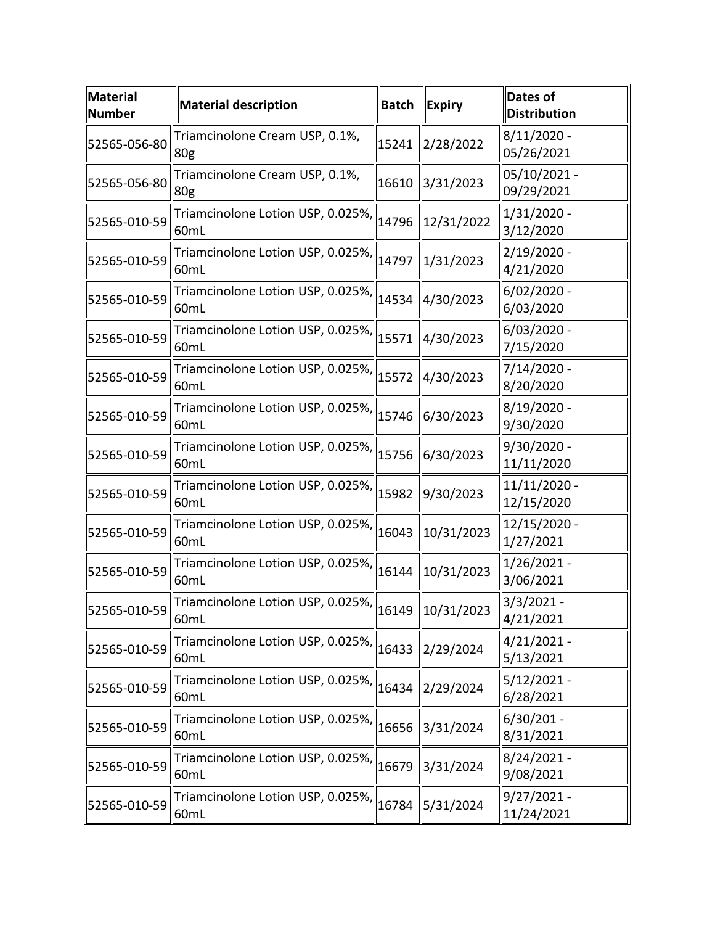| Material<br><b>Number</b> | <b>Material description</b>                                               | <b>Batch</b> | <b>Expiry</b> | <b>Dates of</b><br><b>Distribution</b> |
|---------------------------|---------------------------------------------------------------------------|--------------|---------------|----------------------------------------|
| 52565-056-80              | Triamcinolone Cream USP, 0.1%,<br>80g                                     | 15241        | 2/28/2022     | $8/11/2020$ -<br>05/26/2021            |
| 52565-056-80              | Triamcinolone Cream USP, 0.1%,<br>80g                                     | 16610        | 3/31/2023     | 05/10/2021 -<br>09/29/2021             |
| 52565-010-59              | Triamcinolone Lotion USP, 0.025%, 14796<br>60mL                           |              | 12/31/2022    | 1/31/2020 -<br>3/12/2020               |
| 52565-010-59              | Triamcinolone Lotion USP, 0.025%,<br>60mL                                 | 14797        | 1/31/2023     | 2/19/2020 -<br>4/21/2020               |
| 52565-010-59              | Triamcinolone Lotion USP, 0.025%, 14534<br>60mL                           |              | 4/30/2023     | 6/02/2020 -<br>6/03/2020               |
| 52565-010-59              | Triamcinolone Lotion USP, 0.025%,<br>60mL                                 | 15571        | 4/30/2023     | 6/03/2020 -<br>7/15/2020               |
| 52565-010-59              | Triamcinolone Lotion USP, 0.025%, 15572<br>60mL                           |              | 4/30/2023     | 7/14/2020 -<br>8/20/2020               |
| 52565-010-59              | Triamcinolone Lotion USP, 0.025%,<br>60mL                                 | 15746        | 6/30/2023     | 8/19/2020 -<br>9/30/2020               |
| 52565-010-59              | Triamcinolone Lotion USP, 0.025%,<br>60 <sub>mL</sub>                     | 15756        | 6/30/2023     | 9/30/2020 -<br>11/11/2020              |
| 52565-010-59              | Triamcinolone Lotion USP, 0.025%,<br>60mL                                 | 15982        | 9/30/2023     | 11/11/2020 -<br>12/15/2020             |
| 52565-010-59              | Triamcinolone Lotion USP, 0.025%,<br>60mL                                 | 16043        | 10/31/2023    | 12/15/2020 -<br>1/27/2021              |
| 52565-010-59              | $\overline{\text{Triamcinolone}}$ Lotion USP, 0.025%, 16144<br>60mL       |              | 10/31/2023    | 1/26/2021 -<br>3/06/2021               |
| 52565-010-59              | $\overline{\pi$ riamcinolone Lotion USP, 0.025%, 16149 10/31/2023<br>60mL |              |               | $3/3/2021 -$<br>4/21/2021              |
| 52565-010-59              | Triamcinolone Lotion USP, 0.025%, 16433<br>60mL                           |              | 2/29/2024     | $4/21/2021 -$<br>5/13/2021             |
| 52565-010-59              | Triamcinolone Lotion USP, 0.025%,<br>60mL                                 | 16434        | 2/29/2024     | 5/12/2021 -<br>6/28/2021               |
| 52565-010-59              | Triamcinolone Lotion USP, 0.025%,<br>60mL                                 | 16656        | 3/31/2024     | 6/30/201 -<br>8/31/2021                |
| 52565-010-59              | Triamcinolone Lotion USP, 0.025%,<br>60mL                                 | 16679        | 3/31/2024     | 8/24/2021 -<br>9/08/2021               |
| 52565-010-59              | Triamcinolone Lotion USP, 0.025%,  <br>60mL                               | 16784        | 5/31/2024     | $9/27/2021 -$<br>11/24/2021            |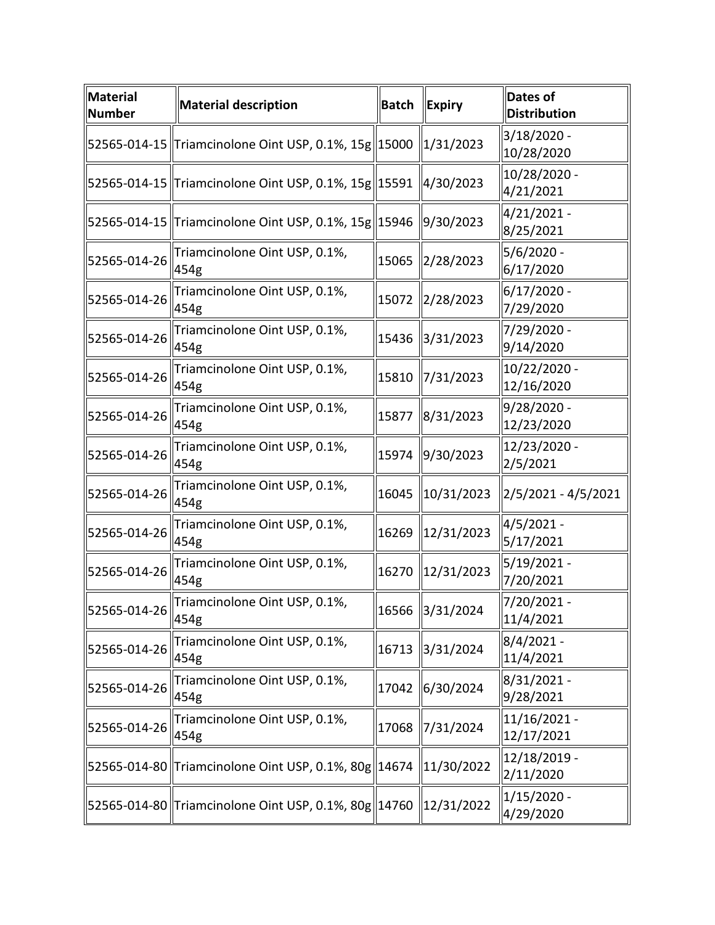| $\ $ Material<br><b>Number</b>              | <b>Material description</b>                                         | <b>Batch</b> | <b>Expiry</b>   | <b>Dates of</b><br><b>Distribution</b> |
|---------------------------------------------|---------------------------------------------------------------------|--------------|-----------------|----------------------------------------|
|                                             | 52565-014-15   Triamcinolone Oint USP, 0.1%, 15g  15000             |              | 1/31/2023       | 3/18/2020 -<br>10/28/2020              |
|                                             | 52565-014-15   Triamcinolone Oint USP, 0.1%, 15g  15591   4/30/2023 |              |                 | 10/28/2020 -<br>4/21/2021              |
|                                             | 52565-014-15   Triamcinolone Oint USP, 0.1%, 15g  15946   9/30/2023 |              |                 | 4/21/2021 -<br>8/25/2021               |
| 52565-014-26                                | Triamcinolone Oint USP, 0.1%,<br>454g                               | 15065        | 2/28/2023       | 5/6/2020 -<br>6/17/2020                |
| 52565-014-26                                | Triamcinolone Oint USP, 0.1%,<br>454g                               | 15072        | 2/28/2023       | $6/17/2020$ -<br>7/29/2020             |
| 52565-014-26                                | Triamcinolone Oint USP, 0.1%,<br>454g                               | 15436        | 3/31/2023       | 7/29/2020 -<br>9/14/2020               |
| 52565-014-26                                | Triamcinolone Oint USP, 0.1%,<br>454g                               | 15810        | 7/31/2023       | 10/22/2020 -<br>12/16/2020             |
| 52565-014-26                                | Triamcinolone Oint USP, 0.1%,<br>454g                               | 15877        | 8/31/2023       | 9/28/2020 -<br>12/23/2020              |
| 52565-014-26                                | Triamcinolone Oint USP, 0.1%,<br>454g                               | 15974        | 9/30/2023       | 12/23/2020 -<br>2/5/2021               |
| 52565-014-26                                | Triamcinolone Oint USP, 0.1%,<br>454g                               | 16045        | 10/31/2023      | $2/5/2021 - 4/5/2021$                  |
| 52565-014-26                                | Triamcinolone Oint USP, 0.1%,<br>454g                               | 16269        | 12/31/2023      | 4/5/2021 -<br>5/17/2021                |
| 52565-014-26                                | Triamcinolone Oint USP, 0.1%,<br>454g                               | 16270        | 12/31/2023      | 5/19/2021 -<br>7/20/2021               |
| $\parallel$ 52565-014-26 $\parallel$ 116111 | Triamcinolone Oint USP, 0.1%,                                       |              | 16566 3/31/2024 | 7/20/2021 -<br>11/4/2021               |
| 52565-014-26                                | Triamcinolone Oint USP, 0.1%,<br>454g                               | 16713        | 3/31/2024       | $8/4/2021 -$<br>11/4/2021              |
| 52565-014-26                                | Triamcinolone Oint USP, 0.1%,<br>454g                               | 17042        | 6/30/2024       | 8/31/2021 -<br>9/28/2021               |
| 52565-014-26                                | Triamcinolone Oint USP, 0.1%,<br>454g                               | 17068        | 7/31/2024       | 11/16/2021 -<br>12/17/2021             |
|                                             | 52565-014-80 Triamcinolone Oint USP, 0.1%, 80g 14674                |              | 11/30/2022      | 12/18/2019 -<br>2/11/2020              |
|                                             | 52565-014-80 Triamcinolone Oint USP, 0.1%, 80g 14760                |              | 12/31/2022      | $1/15/2020$ -<br>4/29/2020             |